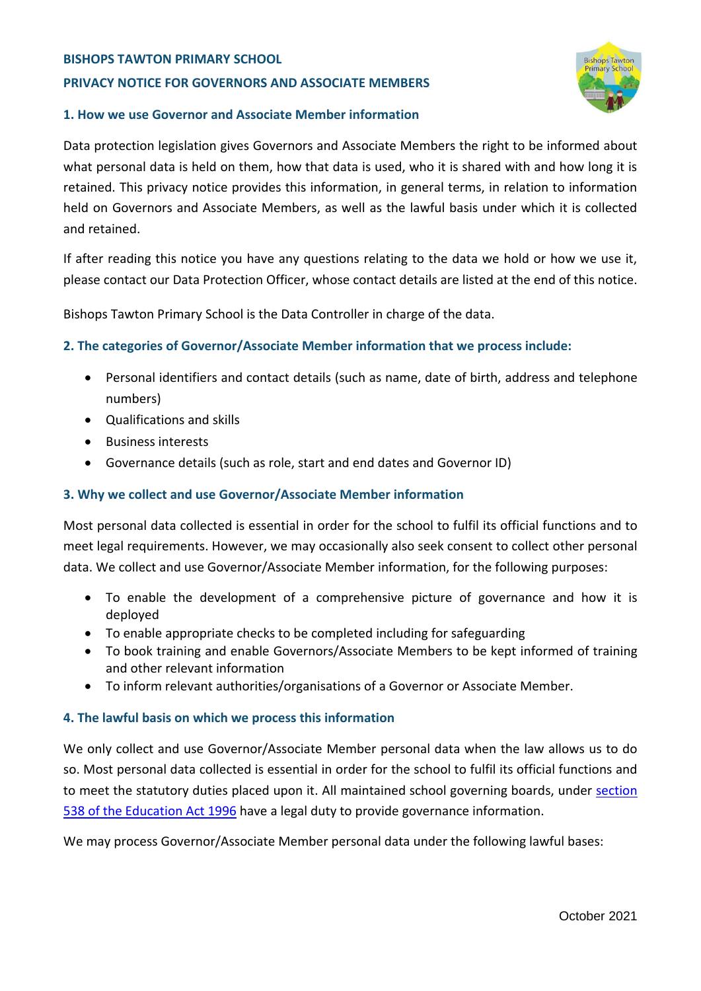#### **BISHOPS TAWTON PRIMARY SCHOOL**

## **PRIVACY NOTICE FOR GOVERNORS AND ASSOCIATE MEMBERS**



### **1. How we use Governor and Associate Member information**

Data protection legislation gives Governors and Associate Members the right to be informed about what personal data is held on them, how that data is used, who it is shared with and how long it is retained. This privacy notice provides this information, in general terms, in relation to information held on Governors and Associate Members, as well as the lawful basis under which it is collected and retained.

If after reading this notice you have any questions relating to the data we hold or how we use it, please contact our Data Protection Officer, whose contact details are listed at the end of this notice.

Bishops Tawton Primary School is the Data Controller in charge of the data.

## **2. The categories of Governor/Associate Member information that we process include:**

- Personal identifiers and contact details (such as name, date of birth, address and telephone numbers)
- Qualifications and skills
- **Business interests**
- Governance details (such as role, start and end dates and Governor ID)

## **3. Why we collect and use Governor/Associate Member information**

Most personal data collected is essential in order for the school to fulfil its official functions and to meet legal requirements. However, we may occasionally also seek consent to collect other personal data. We collect and use Governor/Associate Member information, for the following purposes:

- To enable the development of a comprehensive picture of governance and how it is deployed
- To enable appropriate checks to be completed including for safeguarding
- To book training and enable Governors/Associate Members to be kept informed of training and other relevant information
- To inform relevant authorities/organisations of a Governor or Associate Member.

## **4. The lawful basis on which we process this information**

We only collect and use Governor/Associate Member personal data when the law allows us to do so. Most personal data collected is essential in order for the school to fulfil its official functions and to meet the statutory duties placed upon it. All maintained school governing boards, under [section](http://www.legislation.gov.uk/ukpga/1996/56/section/538)  [538 of the Education Act 1996](http://www.legislation.gov.uk/ukpga/1996/56/section/538) have a legal duty to provide governance information.

We may process Governor/Associate Member personal data under the following lawful bases: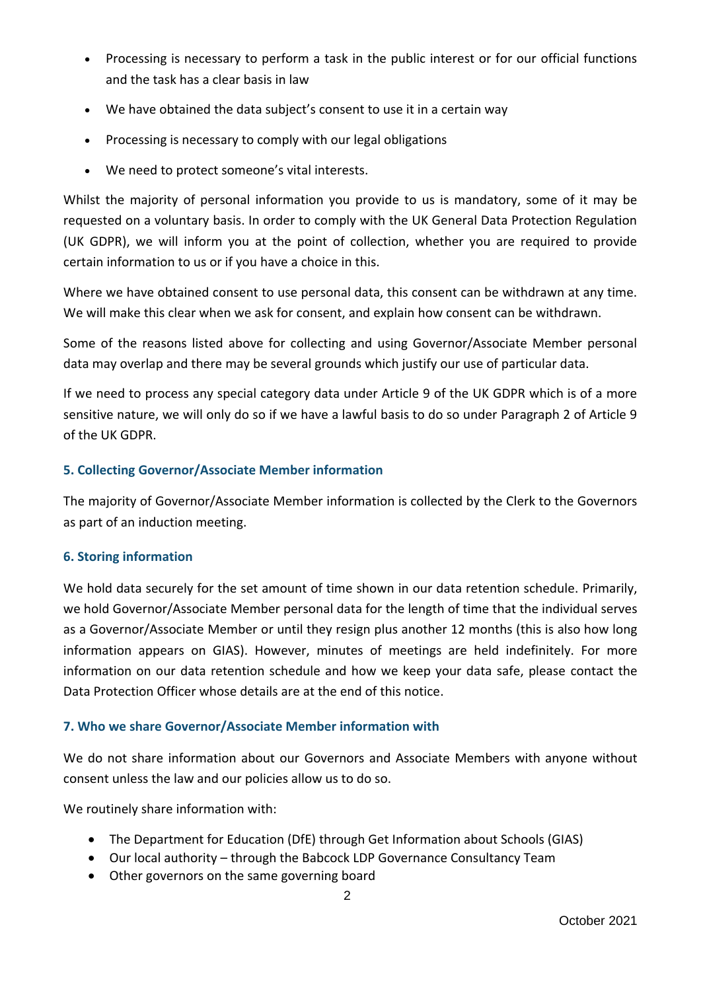- Processing is necessary to perform a task in the public interest or for our official functions and the task has a clear basis in law
- We have obtained the data subject's consent to use it in a certain way
- Processing is necessary to comply with our legal obligations
- We need to protect someone's vital interests.

Whilst the majority of personal information you provide to us is mandatory, some of it may be requested on a voluntary basis. In order to comply with the UK General Data Protection Regulation (UK GDPR), we will inform you at the point of collection, whether you are required to provide certain information to us or if you have a choice in this.

Where we have obtained consent to use personal data, this consent can be withdrawn at any time. We will make this clear when we ask for consent, and explain how consent can be withdrawn.

Some of the reasons listed above for collecting and using Governor/Associate Member personal data may overlap and there may be several grounds which justify our use of particular data.

If we need to process any special category data under Article 9 of the UK GDPR which is of a more sensitive nature, we will only do so if we have a lawful basis to do so under Paragraph 2 of Article 9 of the UK GDPR.

# **5. Collecting Governor/Associate Member information**

The majority of Governor/Associate Member information is collected by the Clerk to the Governors as part of an induction meeting.

## **6. Storing information**

We hold data securely for the set amount of time shown in our data retention schedule. Primarily, we hold Governor/Associate Member personal data for the length of time that the individual serves as a Governor/Associate Member or until they resign plus another 12 months (this is also how long information appears on GIAS). However, minutes of meetings are held indefinitely. For more information on our data retention schedule and how we keep your data safe, please contact the Data Protection Officer whose details are at the end of this notice.

# **7. Who we share Governor/Associate Member information with**

We do not share information about our Governors and Associate Members with anyone without consent unless the law and our policies allow us to do so.

We routinely share information with:

- The Department for Education (DfE) through Get Information about Schools (GIAS)
- Our local authority through the Babcock LDP Governance Consultancy Team
- Other governors on the same governing board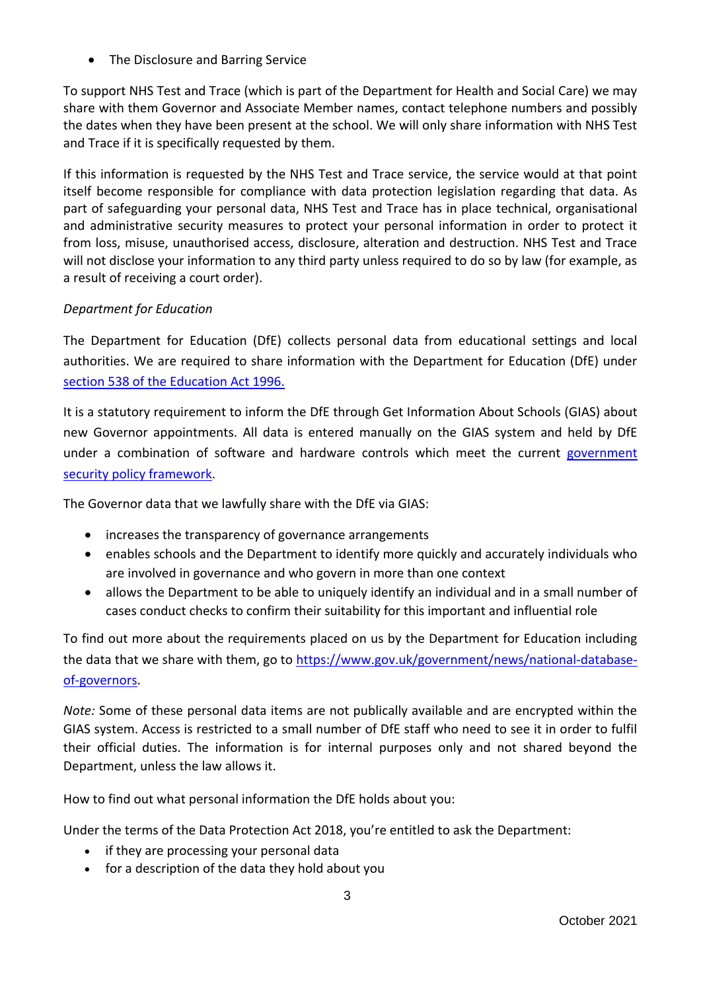• The Disclosure and Barring Service

To support NHS Test and Trace (which is part of the Department for Health and Social Care) we may share with them Governor and Associate Member names, contact telephone numbers and possibly the dates when they have been present at the school. We will only share information with NHS Test and Trace if it is specifically requested by them.

If this information is requested by the NHS Test and Trace service, the service would at that point itself become responsible for compliance with data protection legislation regarding that data. As part of safeguarding your personal data, NHS Test and Trace has in place technical, organisational and administrative security measures to protect your personal information in order to protect it from loss, misuse, unauthorised access, disclosure, alteration and destruction. NHS Test and Trace will not disclose your information to any third party unless required to do so by law (for example, as a result of receiving a court order).

# *Department for Education*

The Department for Education (DfE) collects personal data from educational settings and local authorities. We are required to share information with the Department for Education (DfE) under [section 538 of the Education Act 1996.](http://www.legislation.gov.uk/ukpga/1996/56/section/538)

It is a statutory requirement to inform the DfE through Get Information About Schools (GIAS) about new Governor appointments. All data is entered manually on the GIAS system and held by DfE under a combination of software and hardware controls which meet the current government [security policy framework.](https://www.gov.uk/government/publications/security-policy-framework)

The Governor data that we lawfully share with the DfE via GIAS:

- increases the transparency of governance arrangements
- enables schools and the Department to identify more quickly and accurately individuals who are involved in governance and who govern in more than one context
- allows the Department to be able to uniquely identify an individual and in a small number of cases conduct checks to confirm their suitability for this important and influential role

To find out more about the requirements placed on us by the Department for Education including the data that we share with them, go to [https://www.gov.uk/government/news/national-database](https://www.gov.uk/government/news/national-database-of-governors)[of-governors.](https://www.gov.uk/government/news/national-database-of-governors)

*Note:* Some of these personal data items are not publically available and are encrypted within the GIAS system. Access is restricted to a small number of DfE staff who need to see it in order to fulfil their official duties. The information is for internal purposes only and not shared beyond the Department, unless the law allows it.

How to find out what personal information the DfE holds about you:

Under the terms of the Data Protection Act 2018, you're entitled to ask the Department:

- if they are processing your personal data
- for a description of the data they hold about you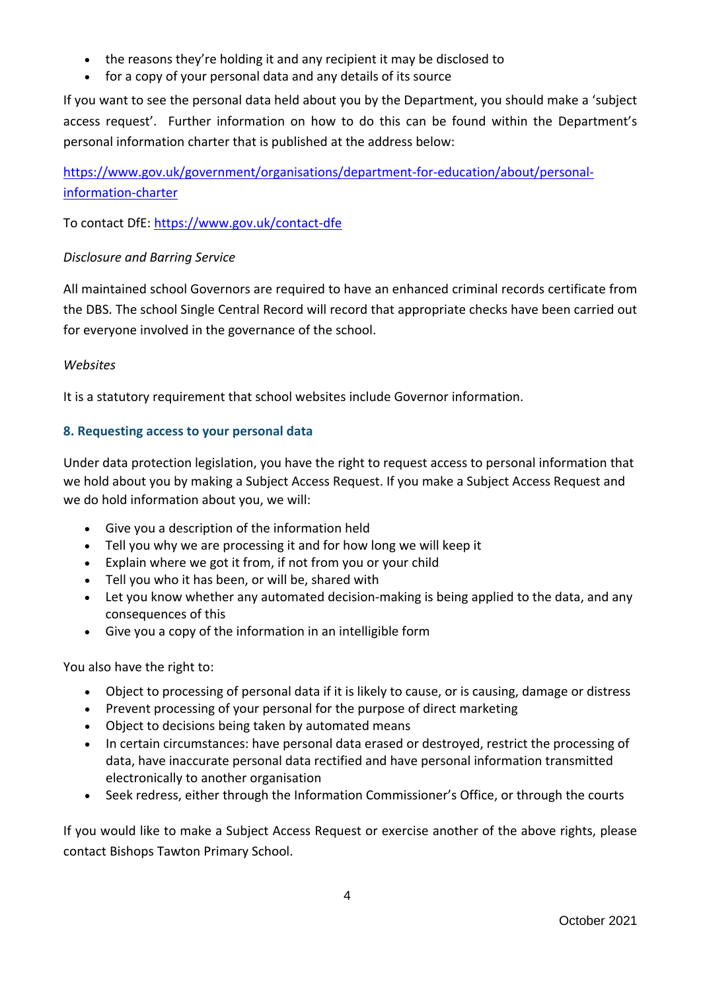- the reasons they're holding it and any recipient it may be disclosed to
- for a copy of your personal data and any details of its source

If you want to see the personal data held about you by the Department, you should make a 'subject access request'. Further information on how to do this can be found within the Department's personal information charter that is published at the address below:

[https://www.gov.uk/government/organisations/department-for-education/about/personal](https://www.gov.uk/government/organisations/department-for-education/about/personal-information-charter)[information-charter](https://www.gov.uk/government/organisations/department-for-education/about/personal-information-charter)

To contact DfE:<https://www.gov.uk/contact-dfe>

# *Disclosure and Barring Service*

All maintained school Governors are required to have an enhanced criminal records certificate from the DBS. The school Single Central Record will record that appropriate checks have been carried out for everyone involved in the governance of the school.

# *Websites*

It is a statutory requirement that school websites include Governor information.

# **8. Requesting access to your personal data**

Under data protection legislation, you have the right to request access to personal information that we hold about you by making a Subject Access Request. If you make a Subject Access Request and we do hold information about you, we will:

- Give you a description of the information held
- Tell you why we are processing it and for how long we will keep it
- Explain where we got it from, if not from you or your child
- Tell you who it has been, or will be, shared with
- Let you know whether any automated decision-making is being applied to the data, and any consequences of this
- Give you a copy of the information in an intelligible form

You also have the right to:

- Object to processing of personal data if it is likely to cause, or is causing, damage or distress
- Prevent processing of your personal for the purpose of direct marketing
- Object to decisions being taken by automated means
- In certain circumstances: have personal data erased or destroyed, restrict the processing of data, have inaccurate personal data rectified and have personal information transmitted electronically to another organisation
- Seek redress, either through the Information Commissioner's Office, or through the courts

If you would like to make a Subject Access Request or exercise another of the above rights, please contact Bishops Tawton Primary School.